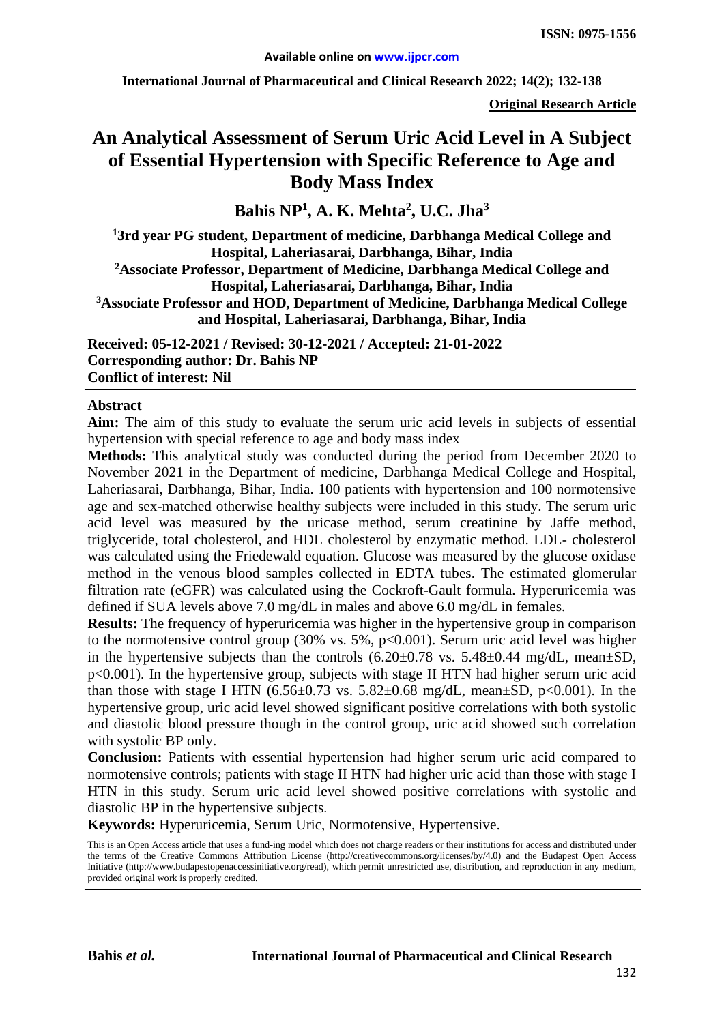**International Journal of Pharmaceutical and Clinical Research 2022; 14(2); 132-138**

**Original Research Article**

# **An Analytical Assessment of Serum Uric Acid Level in A Subject of Essential Hypertension with Specific Reference to Age and Body Mass Index**

**Bahis NP1 , A. K. Mehta2 , U.C. Jha3**

**1 3rd year PG student, Department of medicine, Darbhanga Medical College and Hospital, Laheriasarai, Darbhanga, Bihar, India 2Associate Professor, Department of Medicine, Darbhanga Medical College and Hospital, Laheriasarai, Darbhanga, Bihar, India 3Associate Professor and HOD, Department of Medicine, Darbhanga Medical College and Hospital, Laheriasarai, Darbhanga, Bihar, India**

**Received: 05-12-2021 / Revised: 30-12-2021 / Accepted: 21-01-2022 Corresponding author: Dr. Bahis NP Conflict of interest: Nil**

#### **Abstract**

**Aim:** The aim of this study to evaluate the serum uric acid levels in subjects of essential hypertension with special reference to age and body mass index

**Methods:** This analytical study was conducted during the period from December 2020 to November 2021 in the Department of medicine, Darbhanga Medical College and Hospital, Laheriasarai, Darbhanga, Bihar, India. 100 patients with hypertension and 100 normotensive age and sex-matched otherwise healthy subjects were included in this study. The serum uric acid level was measured by the uricase method, serum creatinine by Jaffe method, triglyceride, total cholesterol, and HDL cholesterol by enzymatic method. LDL- cholesterol was calculated using the Friedewald equation. Glucose was measured by the glucose oxidase method in the venous blood samples collected in EDTA tubes. The estimated glomerular filtration rate (eGFR) was calculated using the Cockroft-Gault formula. Hyperuricemia was defined if SUA levels above 7.0 mg/dL in males and above 6.0 mg/dL in females.

**Results:** The frequency of hyperuricemia was higher in the hypertensive group in comparison to the normotensive control group  $(30\% \text{ vs. } 5\%, \text{ p} < 0.001)$ . Serum uric acid level was higher in the hypertensive subjects than the controls  $(6.20\pm0.78 \text{ vs. } 5.48\pm0.44 \text{ mg/dL}, \text{ mean} \pm \text{SD},$ p<0.001). In the hypertensive group, subjects with stage II HTN had higher serum uric acid than those with stage I HTN  $(6.56\pm0.73 \text{ vs. } 5.82\pm0.68 \text{ mg/dL}, \text{mean}\pm\text{SD}, \text{p}<0.001)$ . In the hypertensive group, uric acid level showed significant positive correlations with both systolic and diastolic blood pressure though in the control group, uric acid showed such correlation with systolic BP only.

**Conclusion:** Patients with essential hypertension had higher serum uric acid compared to normotensive controls; patients with stage II HTN had higher uric acid than those with stage I HTN in this study. Serum uric acid level showed positive correlations with systolic and diastolic BP in the hypertensive subjects.

**Keywords:** Hyperuricemia, Serum Uric, Normotensive, Hypertensive.

This is an Open Access article that uses a fund-ing model which does not charge readers or their institutions for access and distributed under the terms of the Creative Commons Attribution License (http://creativecommons.org/licenses/by/4.0) and the Budapest Open Access Initiative (http://www.budapestopenaccessinitiative.org/read), which permit unrestricted use, distribution, and reproduction in any medium, provided original work is properly credited.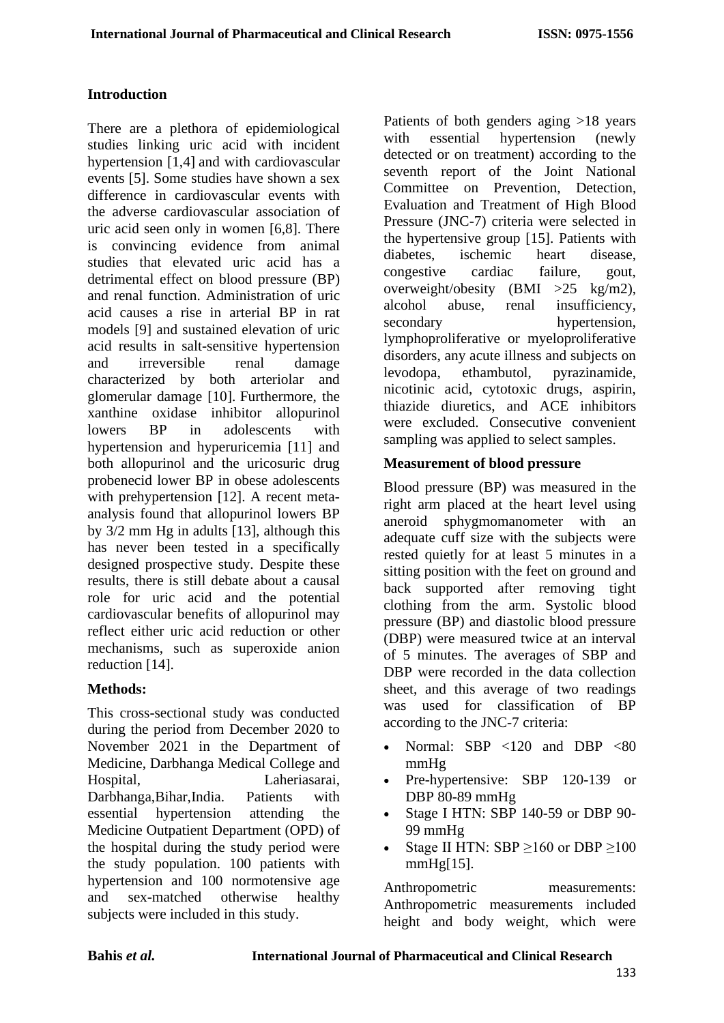# **Introduction**

There are a plethora of epidemiological studies linking uric acid with incident hypertension [1,4] and with cardiovascular events [5]. Some studies have shown a sex difference in cardiovascular events with the adverse cardiovascular association of uric acid seen only in women [6,8]. There is convincing evidence from animal studies that elevated uric acid has a detrimental effect on blood pressure (BP) and renal function. Administration of uric acid causes a rise in arterial BP in rat models [9] and sustained elevation of uric acid results in salt-sensitive hypertension and irreversible renal damage characterized by both arteriolar and glomerular damage [10]. Furthermore, the xanthine oxidase inhibitor allopurinol lowers BP in adolescents with hypertension and hyperuricemia [11] and both allopurinol and the uricosuric drug probenecid lower BP in obese adolescents with prehypertension [12]. A recent metaanalysis found that allopurinol lowers BP by 3/2 mm Hg in adults [13], although this has never been tested in a specifically designed prospective study. Despite these results, there is still debate about a causal role for uric acid and the potential cardiovascular benefits of allopurinol may reflect either uric acid reduction or other mechanisms, such as superoxide anion reduction [14].

## **Methods:**

This cross-sectional study was conducted during the period from December 2020 to November 2021 in the Department of Medicine, Darbhanga Medical College and Hospital, Laheriasarai, Darbhanga,Bihar,India. Patients with essential hypertension attending the Medicine Outpatient Department (OPD) of the hospital during the study period were the study population. 100 patients with hypertension and 100 normotensive age and sex-matched otherwise healthy subjects were included in this study.

Patients of both genders aging >18 years with essential hypertension (newly detected or on treatment) according to the seventh report of the Joint National Committee on Prevention, Detection, Evaluation and Treatment of High Blood Pressure (JNC-7) criteria were selected in the hypertensive group [15]. Patients with diabetes, ischemic heart disease, congestive cardiac failure, gout, overweight/obesity (BMI >25 kg/m2), alcohol abuse, renal insufficiency, secondary hypertension, lymphoproliferative or myeloproliferative disorders, any acute illness and subjects on levodopa, ethambutol, pyrazinamide, nicotinic acid, cytotoxic drugs, aspirin, thiazide diuretics, and ACE inhibitors were excluded. Consecutive convenient sampling was applied to select samples.

## **Measurement of blood pressure**

Blood pressure (BP) was measured in the right arm placed at the heart level using aneroid sphygmomanometer with an adequate cuff size with the subjects were rested quietly for at least 5 minutes in a sitting position with the feet on ground and back supported after removing tight clothing from the arm. Systolic blood pressure (BP) and diastolic blood pressure (DBP) were measured twice at an interval of 5 minutes. The averages of SBP and DBP were recorded in the data collection sheet, and this average of two readings was used for classification of BP according to the JNC-7 criteria:

- Normal: SBP <120 and DBP <80 mmHg
- Pre-hypertensive: SBP 120-139 or DBP 80-89 mmHg
- Stage I HTN: SBP 140-59 or DBP 90-99 mmHg
- Stage II HTN: SBP  $>160$  or DBP  $>100$ mmHg[15].

Anthropometric measurements: Anthropometric measurements included height and body weight, which were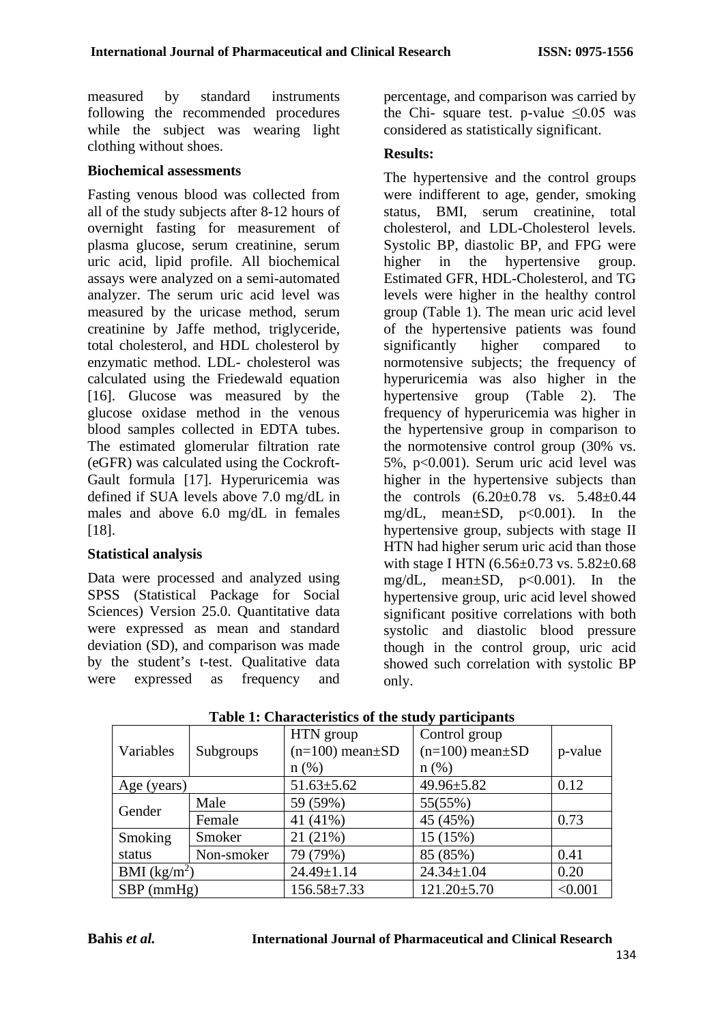measured by standard instruments following the recommended procedures while the subject was wearing light clothing without shoes.

#### **Biochemical assessments**

Fasting venous blood was collected from all of the study subjects after 8-12 hours of overnight fasting for measurement of plasma glucose, serum creatinine, serum uric acid, lipid profile. All biochemical assays were analyzed on a semi-automated analyzer. The serum uric acid level was measured by the uricase method, serum creatinine by Jaffe method, triglyceride, total cholesterol, and HDL cholesterol by enzymatic method. LDL- cholesterol was calculated using the Friedewald equation [16]. Glucose was measured by the glucose oxidase method in the venous blood samples collected in EDTA tubes. The estimated glomerular filtration rate (eGFR) was calculated using the Cockroft-Gault formula [17]. Hyperuricemia was defined if SUA levels above 7.0 mg/dL in males and above 6.0 mg/dL in females [18].

## **Statistical analysis**

Data were processed and analyzed using SPSS (Statistical Package for Social Sciences) Version 25.0. Quantitative data were expressed as mean and standard deviation (SD), and comparison was made by the student's t-test. Qualitative data were expressed as frequency and percentage, and comparison was carried by the Chi- square test. p-value  $\leq 0.05$  was considered as statistically significant.

#### **Results:**

The hypertensive and the control groups were indifferent to age, gender, smoking status, BMI, serum creatinine, total cholesterol, and LDL-Cholesterol levels. Systolic BP, diastolic BP, and FPG were higher in the hypertensive group. Estimated GFR, HDL-Cholesterol, and TG levels were higher in the healthy control group (Table 1). The mean uric acid level of the hypertensive patients was found significantly higher compared to normotensive subjects; the frequency of hyperuricemia was also higher in the hypertensive group (Table 2). The frequency of hyperuricemia was higher in the hypertensive group in comparison to the normotensive control group (30% vs. 5%, p<0.001). Serum uric acid level was higher in the hypertensive subjects than the controls  $(6.20 \pm 0.78$  vs.  $5.48 \pm 0.44$ mg/dL, mean±SD, p<0.001). In the hypertensive group, subjects with stage II HTN had higher serum uric acid than those with stage I HTN (6.56±0.73 vs. 5.82±0.68 mg/dL, mean $\pm$ SD, p<0.001). In the hypertensive group, uric acid level showed significant positive correlations with both systolic and diastolic blood pressure though in the control group, uric acid showed such correlation with systolic BP only.

|                |            | HTN group               | Control group           |         |
|----------------|------------|-------------------------|-------------------------|---------|
| Variables      | Subgroups  | $(n=100)$ mean $\pm SD$ | $(n=100)$ mean $\pm$ SD | p-value |
|                |            | $n$ (%)                 | $n(\%)$                 |         |
| Age (years)    |            | $51.63 \pm 5.62$        | $49.96 \pm 5.82$        | 0.12    |
| Gender         | Male       | 59 (59%)                | 55(55%)                 |         |
|                | Female     | 41 (41%)                | 45 (45%)                | 0.73    |
| Smoking        | Smoker     | 21(21%)                 | 15 (15%)                |         |
| status         | Non-smoker | 79 (79%)                | 85 (85%)                | 0.41    |
| BMI $(kg/m^2)$ |            | $24.49 \pm 1.14$        | $24.34 \pm 1.04$        | 0.20    |
| $SBP$ (mmHg)   |            | $156.58 \pm 7.33$       | $121.20 \pm 5.70$       | < 0.001 |

**Table 1: Characteristics of the study participants**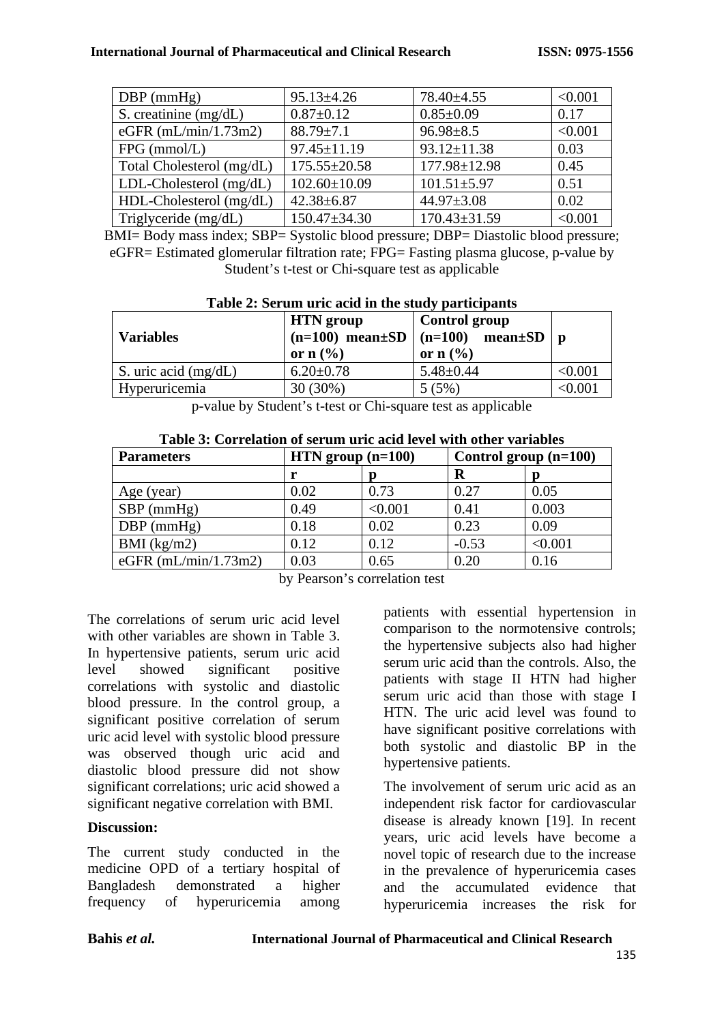#### **International Journal of Pharmaceutical and Clinical Research ISSN: 0975-1556**

| $DBP$ (mmHg)              | $95.13 \pm 4.26$   | 78.40±4.55         | < 0.001 |
|---------------------------|--------------------|--------------------|---------|
| S. creatinine $(mg/dL)$   | $0.87 \pm 0.12$    | $0.85 \pm 0.09$    | 0.17    |
| eGFR $(mL/min/1.73m2)$    | $88.79 \pm 7.1$    | $96.98 \pm 8.5$    | < 0.001 |
| $FPG$ (mmol/L)            | 97.45±11.19        | $93.12 \pm 11.38$  | 0.03    |
| Total Cholesterol (mg/dL) | $175.55 \pm 20.58$ | $177.98 \pm 12.98$ | 0.45    |
| LDL-Cholesterol (mg/dL)   | $102.60 \pm 10.09$ | $101.51 \pm 5.97$  | 0.51    |
| HDL-Cholesterol (mg/dL)   | $42.38 + 6.87$     | $44.97 \pm 3.08$   | 0.02    |
| Triglyceride (mg/dL)      | $150.47 \pm 34.30$ | $170.43 \pm 31.59$ | < 0.001 |

BMI= Body mass index; SBP= Systolic blood pressure; DBP= Diastolic blood pressure; eGFR= Estimated glomerular filtration rate; FPG= Fasting plasma glucose, p-value by Student's t-test or Chi-square test as applicable

| <b>Variables</b>       | <b>HTN</b> group<br>or $n$ $\left(\frac{9}{6}\right)$ | Control group<br>$(n=100)$ mean $\pm SD$ $(n=100)$ mean $\pm SD$ p<br>or $n$ $\left(\frac{9}{6}\right)$ |         |
|------------------------|-------------------------------------------------------|---------------------------------------------------------------------------------------------------------|---------|
| S. uric acid $(mg/dL)$ | $6.20 \pm 0.78$                                       | $5.48 \pm 0.44$                                                                                         | < 0.001 |
| Hyperuricemia          | 30 (30%)                                              | 5(5%)                                                                                                   | < 0.001 |

## **Table 2: Serum uric acid in the study participants**

p-value by Student's t-test or Chi-square test as applicable

| <b>Parameters</b>      | $HTN$ group $(n=100)$ |         | A WAZIV UT U UZA UZINTATUZI UZI DUZI MAALI MLAU MUZIN AUTUZI TATA UTAKU TIMA AWAZIND<br>Control group $(n=100)$ |         |
|------------------------|-----------------------|---------|-----------------------------------------------------------------------------------------------------------------|---------|
|                        |                       |         | R                                                                                                               |         |
| Age (year)             | 0.02                  | 0.73    | 0.27                                                                                                            | 0.05    |
| $SBP$ (mmHg)           | 0.49                  | < 0.001 | 0.41                                                                                                            | 0.003   |
| $DBP$ (mmHg)           | 0.18                  | 0.02    | 0.23                                                                                                            | 0.09    |
| $BMI$ (kg/m2)          | 0.12                  | 0.12    | $-0.53$                                                                                                         | < 0.001 |
| eGFR $(mL/min/1.73m2)$ | 0.03                  | 0.65    | 0.20                                                                                                            | 0.16    |

**Table 3: Correlation of serum uric acid level with other variables**

by Pearson's correlation test

The correlations of serum uric acid level with other variables are shown in Table 3. In hypertensive patients, serum uric acid level showed significant positive correlations with systolic and diastolic blood pressure. In the control group, a significant positive correlation of serum uric acid level with systolic blood pressure was observed though uric acid and diastolic blood pressure did not show significant correlations; uric acid showed a significant negative correlation with BMI.

## **Discussion:**

The current study conducted in the medicine OPD of a tertiary hospital of Bangladesh demonstrated a higher frequency of hyperuricemia among

patients with essential hypertension in comparison to the normotensive controls; the hypertensive subjects also had higher serum uric acid than the controls. Also, the patients with stage II HTN had higher serum uric acid than those with stage I HTN. The uric acid level was found to have significant positive correlations with both systolic and diastolic BP in the hypertensive patients.

The involvement of serum uric acid as an independent risk factor for cardiovascular disease is already known [19]. In recent years, uric acid levels have become a novel topic of research due to the increase in the prevalence of hyperuricemia cases and the accumulated evidence that hyperuricemia increases the risk for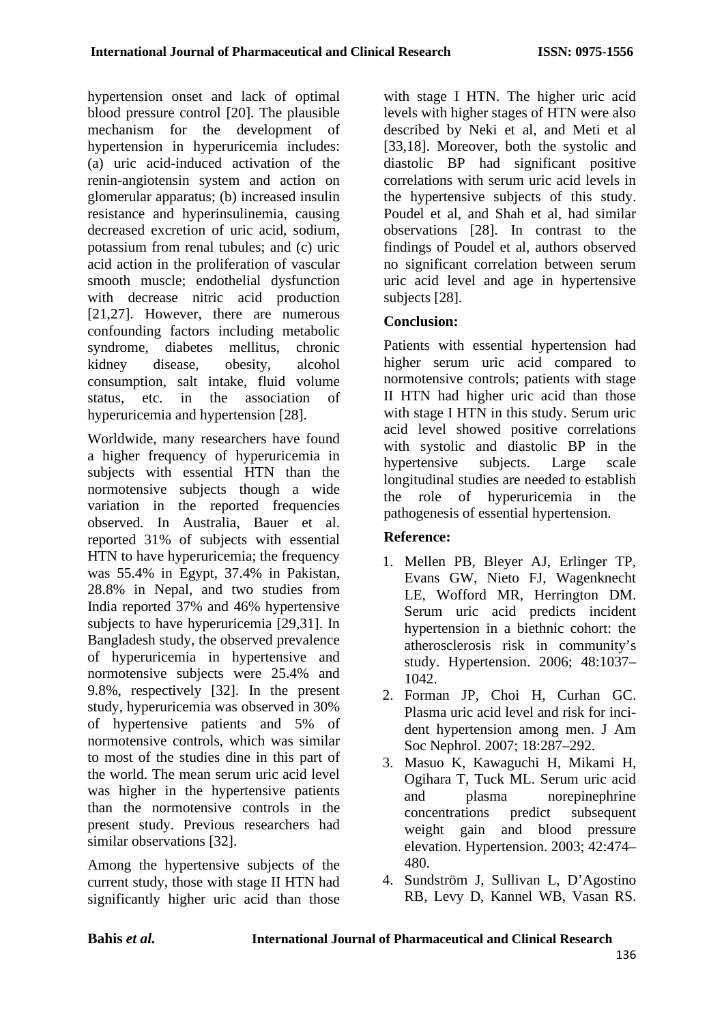hypertension onset and lack of optimal blood pressure control [20]. The plausible mechanism for the development of hypertension in hyperuricemia includes: (a) uric acid-induced activation of the renin-angiotensin system and action on glomerular apparatus; (b) increased insulin resistance and hyperinsulinemia, causing decreased excretion of uric acid, sodium, potassium from renal tubules; and (c) uric acid action in the proliferation of vascular smooth muscle; endothelial dysfunction with decrease nitric acid production [21,27]. However, there are numerous confounding factors including metabolic syndrome, diabetes mellitus, chronic kidney disease, obesity, alcohol consumption, salt intake, fluid volume status, etc. in the association of hyperuricemia and hypertension [28].

Worldwide, many researchers have found a higher frequency of hyperuricemia in subjects with essential HTN than the normotensive subjects though a wide variation in the reported frequencies observed. In Australia, Bauer et al. reported 31% of subjects with essential HTN to have hyperuricemia; the frequency was 55.4% in Egypt, 37.4% in Pakistan, 28.8% in Nepal, and two studies from India reported 37% and 46% hypertensive subjects to have hyperuricemia [29,31]. In Bangladesh study, the observed prevalence of hyperuricemia in hypertensive and normotensive subjects were 25.4% and 9.8%, respectively [32]. In the present study, hyperuricemia was observed in 30% of hypertensive patients and 5% of normotensive controls, which was similar to most of the studies dine in this part of the world. The mean serum uric acid level was higher in the hypertensive patients than the normotensive controls in the present study. Previous researchers had similar observations [32].

Among the hypertensive subjects of the current study, those with stage II HTN had significantly higher uric acid than those with stage I HTN. The higher uric acid levels with higher stages of HTN were also described by Neki et al, and Meti et al [33,18]. Moreover, both the systolic and diastolic BP had significant positive correlations with serum uric acid levels in the hypertensive subjects of this study. Poudel et al, and Shah et al, had similar observations [28]. In contrast to the findings of Poudel et al, authors observed no significant correlation between serum uric acid level and age in hypertensive subjects [28].

# **Conclusion:**

Patients with essential hypertension had higher serum uric acid compared to normotensive controls; patients with stage II HTN had higher uric acid than those with stage I HTN in this study. Serum uric acid level showed positive correlations with systolic and diastolic BP in the hypertensive subjects. Large scale longitudinal studies are needed to establish the role of hyperuricemia in the pathogenesis of essential hypertension.

# **Reference:**

- 1. Mellen PB, Bleyer AJ, Erlinger TP, Evans GW, Nieto FJ, Wagenknecht LE, Wofford MR, Herrington DM. Serum uric acid predicts incident hypertension in a biethnic cohort: the atherosclerosis risk in community's study. Hypertension. 2006; 48:1037– 1042.
- 2. Forman JP, Choi H, Curhan GC. Plasma uric acid level and risk for incident hypertension among men. J Am Soc Nephrol. 2007; 18:287–292.
- 3. Masuo K, Kawaguchi H, Mikami H, Ogihara T, Tuck ML. Serum uric acid and plasma norepinephrine concentrations predict subsequent weight gain and blood pressure elevation. Hypertension. 2003; 42:474– 480.
- 4. Sundström J, Sullivan L, D'Agostino RB, Levy D, Kannel WB, Vasan RS.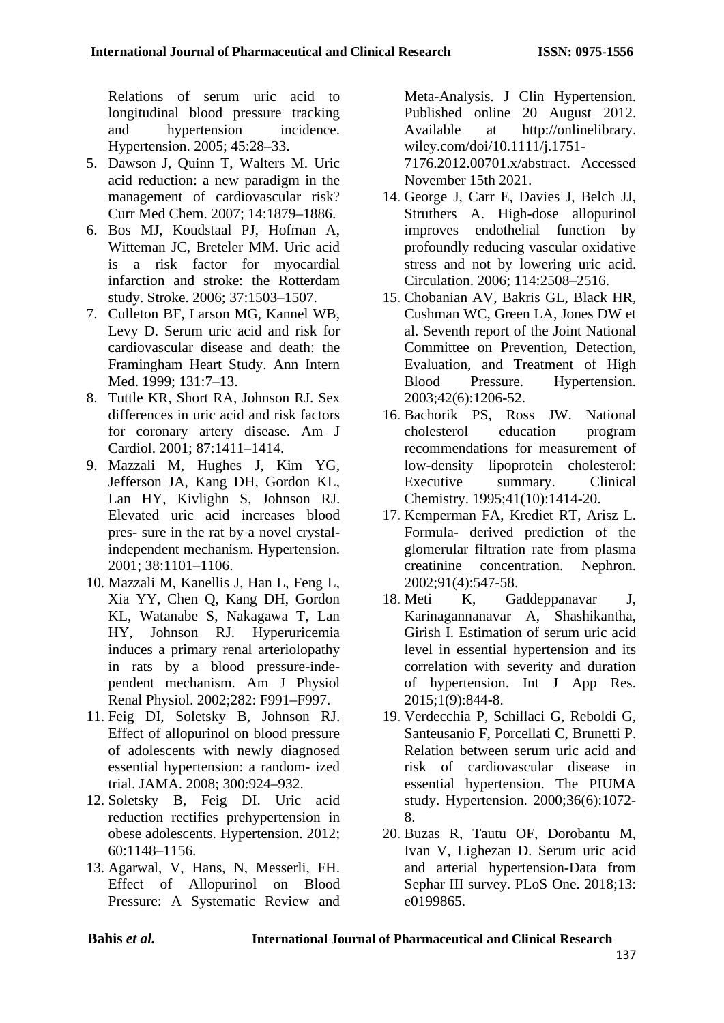Relations of serum uric acid to longitudinal blood pressure tracking and hypertension incidence. Hypertension. 2005; 45:28–33.

- 5. Dawson J, Quinn T, Walters M. Uric acid reduction: a new paradigm in the management of cardiovascular risk? Curr Med Chem. 2007; 14:1879–1886.
- 6. Bos MJ, Koudstaal PJ, Hofman A, Witteman JC, Breteler MM. Uric acid is a risk factor for myocardial infarction and stroke: the Rotterdam study. Stroke. 2006; 37:1503–1507.
- 7. Culleton BF, Larson MG, Kannel WB, Levy D. Serum uric acid and risk for cardiovascular disease and death: the Framingham Heart Study. Ann Intern Med. 1999: 131:7–13.
- 8. Tuttle KR, Short RA, Johnson RJ. Sex differences in uric acid and risk factors for coronary artery disease. Am J Cardiol. 2001; 87:1411–1414.
- 9. Mazzali M, Hughes J, Kim YG, Jefferson JA, Kang DH, Gordon KL, Lan HY, Kivlighn S, Johnson RJ. Elevated uric acid increases blood pres- sure in the rat by a novel crystalindependent mechanism. Hypertension. 2001; 38:1101–1106.
- 10. Mazzali M, Kanellis J, Han L, Feng L, Xia YY, Chen Q, Kang DH, Gordon KL, Watanabe S, Nakagawa T, Lan HY, Johnson RJ. Hyperuricemia induces a primary renal arteriolopathy in rats by a blood pressure-independent mechanism. Am J Physiol Renal Physiol. 2002;282: F991–F997.
- 11. Feig DI, Soletsky B, Johnson RJ. Effect of allopurinol on blood pressure of adolescents with newly diagnosed essential hypertension: a random- ized trial. JAMA. 2008; 300:924–932.
- 12. Soletsky B, Feig DI. Uric acid reduction rectifies prehypertension in obese adolescents. Hypertension. 2012; 60:1148–1156.
- 13. Agarwal, V, Hans, N, Messerli, FH. Effect of Allopurinol on Blood Pressure: A Systematic Review and

Meta-Analysis. J Clin Hypertension. Published online 20 August 2012. Available at [http://onlinelibrary.](http://onlinelibrary.wiley.com/doi/10.1111/j.1751-7176.2012.00701.x/abstract) [wiley.com/doi/10.1111/j.1751-](http://onlinelibrary.wiley.com/doi/10.1111/j.1751-7176.2012.00701.x/abstract) [7176.2012.00701.x/abstract.](http://onlinelibrary.wiley.com/doi/10.1111/j.1751-7176.2012.00701.x/abstract) Accessed November 15th 2021.

- 14. George J, Carr E, Davies J, Belch JJ, Struthers A. High-dose allopurinol improves endothelial function by profoundly reducing vascular oxidative stress and not by lowering uric acid. Circulation. 2006; 114:2508–2516.
- 15. Chobanian AV, Bakris GL, Black HR, Cushman WC, Green LA, Jones DW et al. Seventh report of the Joint National Committee on Prevention, Detection, Evaluation, and Treatment of High Blood Pressure. Hypertension. 2003;42(6):1206-52.
- 16. Bachorik PS, Ross JW. National cholesterol education program recommendations for measurement of low-density lipoprotein cholesterol: Executive summary. Clinical Chemistry. 1995;41(10):1414-20.
- 17. Kemperman FA, Krediet RT, Arisz L. Formula- derived prediction of the glomerular filtration rate from plasma creatinine concentration. Nephron. 2002;91(4):547-58.
- 18. Meti K, Gaddeppanavar J, Karinagannanavar A, Shashikantha, Girish I. Estimation of serum uric acid level in essential hypertension and its correlation with severity and duration of hypertension. Int J App Res. 2015;1(9):844-8.
- 19. Verdecchia P, Schillaci G, Reboldi G, Santeusanio F, Porcellati C, Brunetti P. Relation between serum uric acid and risk of cardiovascular disease in essential hypertension. The PIUMA study. Hypertension. 2000;36(6):1072- 8.
- 20. Buzas R, Tautu OF, Dorobantu M, Ivan V, Lighezan D. Serum uric acid and arterial hypertension-Data from Sephar III survey. PLoS One. 2018;13: e0199865.